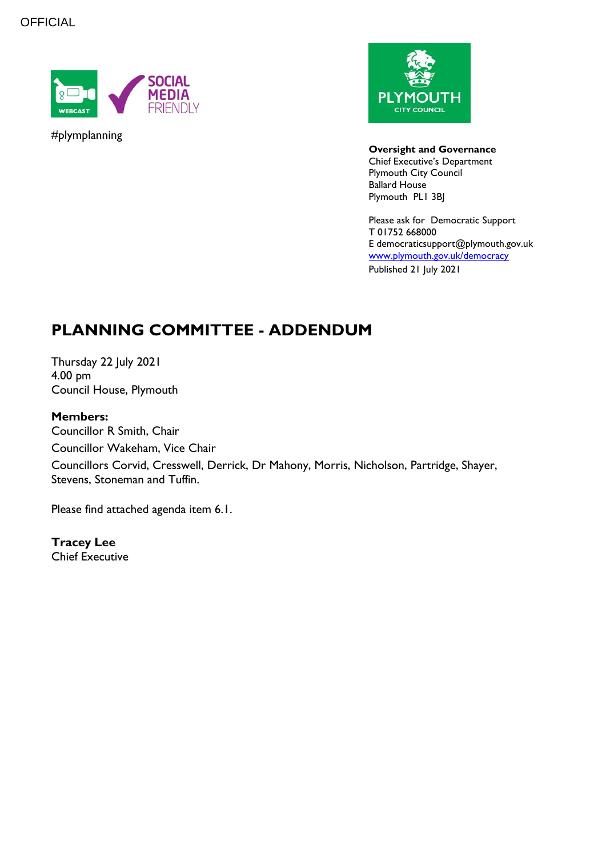**OFFICIAL** 



#plymplanning



**Oversight and Governance** Chief Executive's Department

Plymouth City Council Ballard House Plymouth PL1 3BJ

Please ask for Democratic Support T 01752 668000 E democraticsupport@plymouth.gov.uk [www.plymouth.gov.uk/](http://www.plymouth.gov.uk/)democracy Published 21 July 2021

## **PLANNING COMMITTEE - ADDENDUM**

Thursday 22 July 2021 4.00 pm Council House, Plymouth

#### **Members:**

Councillor R Smith, Chair Councillor Wakeham, Vice Chair Councillors Corvid, Cresswell, Derrick, Dr Mahony, Morris, Nicholson, Partridge, Shayer, Stevens, Stoneman and Tuffin.

Please find attached agenda item 6.1.

**Tracey Lee** Chief Executive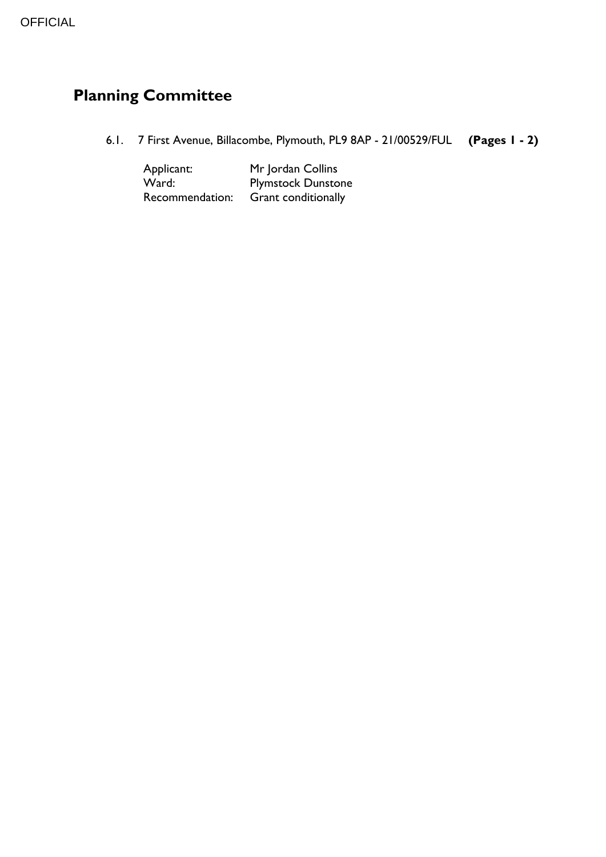# **Planning Committee**

6.1. 7 First Avenue, Billacombe, Plymouth, PL9 8AP - 21/00529/FUL **(Pages 1 - 2)**

Applicant: Mr Jordan Collins<br>
Ward: Plymstock Dunsto vard: Plymstock Dunstone<br>Recommendation: Grant conditionally Grant conditionally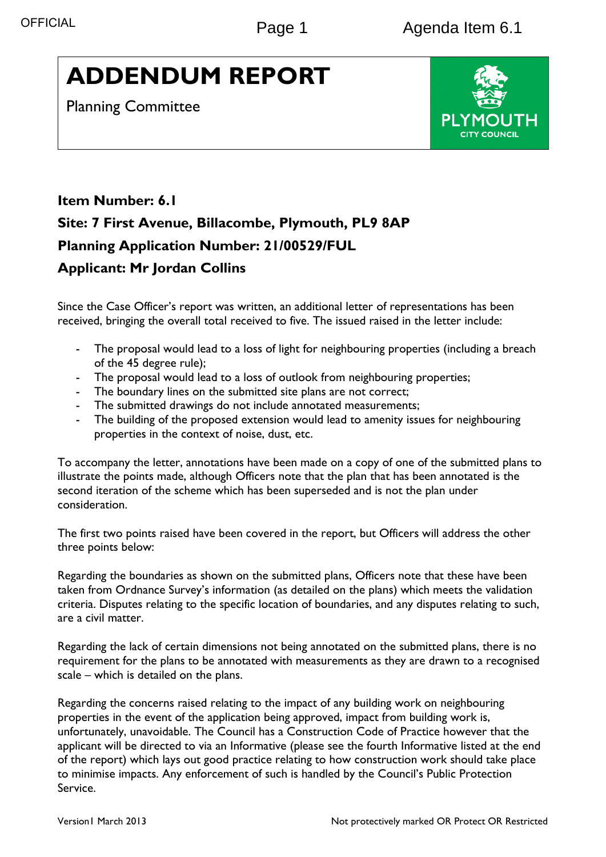# **ADDENDUM REPORT**

Planning Committee



## **Item Number: 6.1 Site: 7 First Avenue, Billacombe, Plymouth, PL9 8AP Planning Application Number: 21/00529/FUL Applicant: Mr Jordan Collins**

Since the Case Officer's report was written, an additional letter of representations has been received, bringing the overall total received to five. The issued raised in the letter include:

- The proposal would lead to a loss of light for neighbouring properties (including a breach of the 45 degree rule);
- The proposal would lead to a loss of outlook from neighbouring properties;
- The boundary lines on the submitted site plans are not correct;
- The submitted drawings do not include annotated measurements;
- The building of the proposed extension would lead to amenity issues for neighbouring properties in the context of noise, dust, etc.

To accompany the letter, annotations have been made on a copy of one of the submitted plans to illustrate the points made, although Officers note that the plan that has been annotated is the second iteration of the scheme which has been superseded and is not the plan under consideration.

The first two points raised have been covered in the report, but Officers will address the other three points below:

Regarding the boundaries as shown on the submitted plans, Officers note that these have been taken from Ordnance Survey's information (as detailed on the plans) which meets the validation criteria. Disputes relating to the specific location of boundaries, and any disputes relating to such, are a civil matter.

Regarding the lack of certain dimensions not being annotated on the submitted plans, there is no requirement for the plans to be annotated with measurements as they are drawn to a recognised scale – which is detailed on the plans.

Regarding the concerns raised relating to the impact of any building work on neighbouring properties in the event of the application being approved, impact from building work is, unfortunately, unavoidable. The Council has a Construction Code of Practice however that the applicant will be directed to via an Informative (please see the fourth Informative listed at the end of the report) which lays out good practice relating to how construction work should take place to minimise impacts. Any enforcement of such is handled by the Council's Public Protection Service.